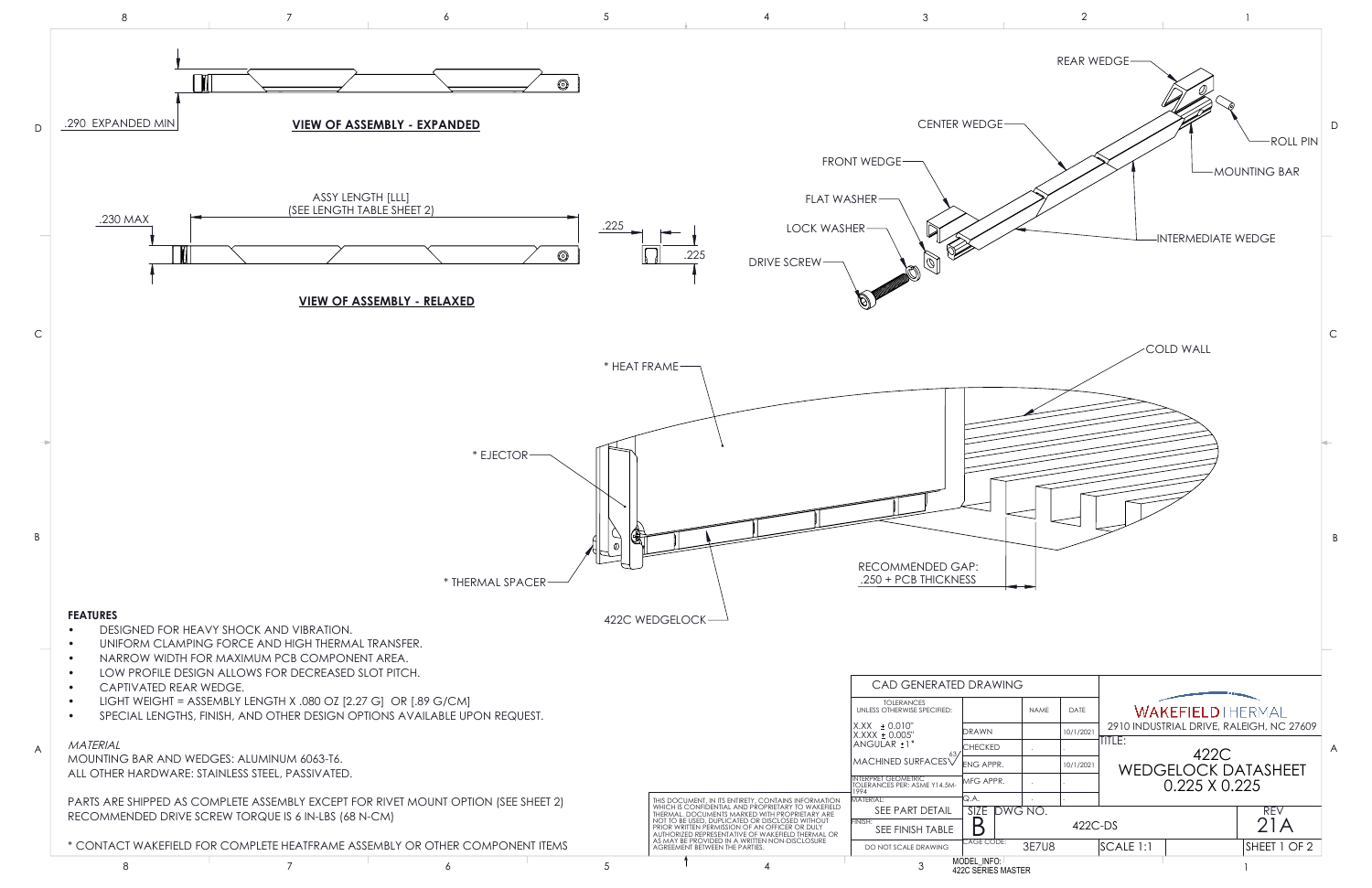